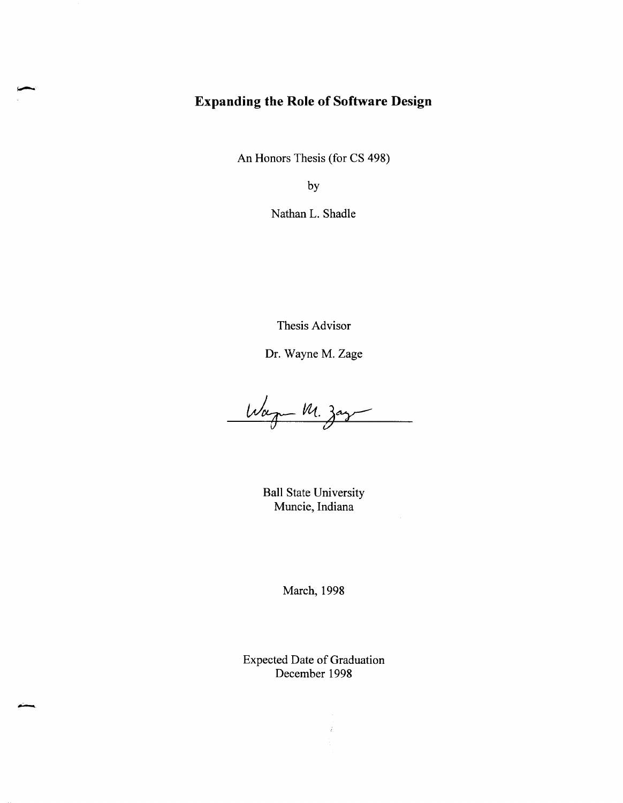## **Expanding the Role of Software Design**

An Honors Thesis (for CS 498)

by

Nathan L. Shadle

Thesis Advisor

Dr. Wayne M. Zage

Wagn M. zaz

Ball State University Muncie, Indiana

March, 1998

Expected Date of Graduation December 1998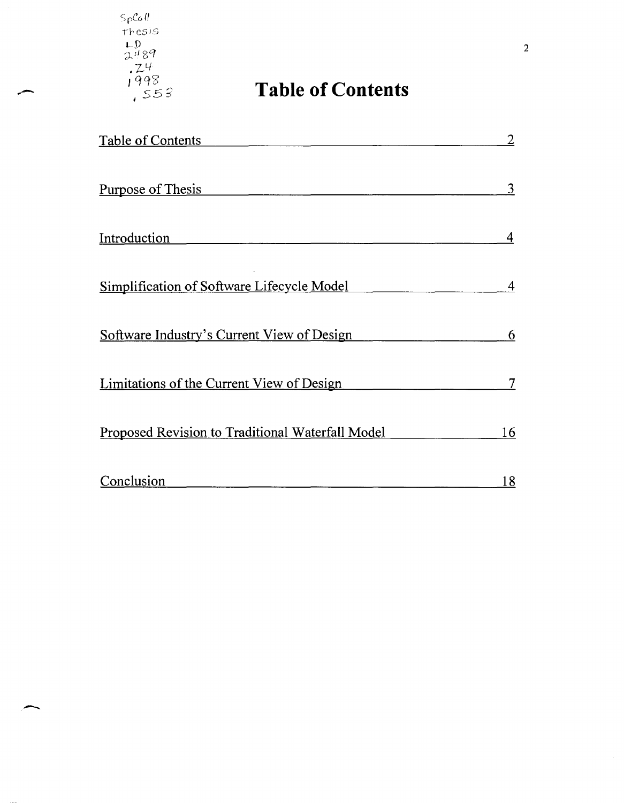$S_{\rho}$  $\mathcal{C}$   $\alpha$   $\theta$ Thesis LD 2489 <sup>f</sup>LI *• J-*

-

# **Table of Contents**

| <u>Table of Contents</u>                                | 2          |
|---------------------------------------------------------|------------|
| <u>Purpose of Thesis</u><br>Introduction                | 3          |
|                                                         | 4          |
| Simplification of Software Lifecycle Model              | 4          |
| Software Industry's Current View of Design              | 6          |
| Limitations of the Current View of Design               |            |
| <b>Proposed Revision to Traditional Waterfall Model</b> | 16         |
| Conclusion                                              | <u> 18</u> |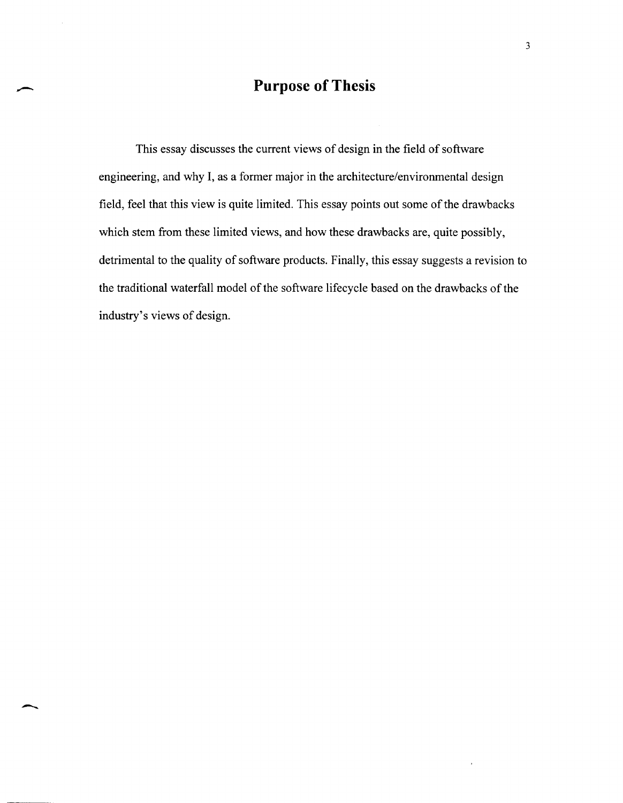# **Purpose of Thesis**

This essay discusses the current views of design in the field of software engineering, and why I, as a former major in the architecture/environmental design field, feel that this view is quite limited. This essay points out some of the drawbacks which stem from these limited views, and how these drawbacks are, quite possibly, detrimental to the quality of software products. Finally, this essay suggests a revision to the traditional waterfall model of the software lifecycle based on the drawbacks of the industry's views of design.

 $\ddot{\phantom{a}}$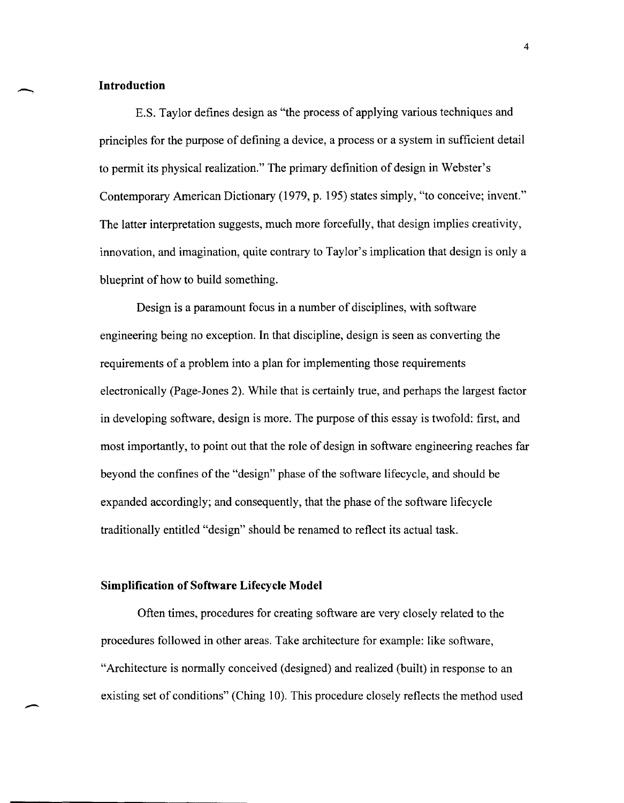#### **Introduction**

-

 $\overline{\phantom{a}}$ 

E.S. Taylor defines design as "the process of applying various techniques and principles for the purpose of defining a device, a process or a system in sufficient detail to permit its physical realization." The primary definition of design in Webster's Contemporary American Dictionary (1979, p. 195) states simply, "to conceive; invent." The latter interpretation suggests, much more forcefully, that design implies creativity, innovation, and imagination, quite contrary to Taylor's implication that design is only a blueprint of how to build something.

Design is a paramount focus in a number of disciplines, with software engineering being no exception. In that discipline, design is seen as converting the requirements of a problem into a plan for implementing those requirements electronically (Page-Jones 2). While that is certainly true, and perhaps the largest factor in developing software, design is more. The purpose of this essay is twofold: first, and most importantly, to point out that the role of design in software engineering reaches far beyond the confines of the "design" phase of the software lifecycle, and should be expanded accordingly; and consequently, that the phase of the software lifecycle traditionally entitled "design" should be renamed to reflect its actual task.

### **Simplification of Software Lifecycle Model**

Often times, procedures for creating software are very closely related to the procedures followed in other areas. Take architecture for example: like software, "Architecture is normally conceived (designed) and realized (built) in response to an existing set of conditions" (Ching 10). This procedure closely reflects the method used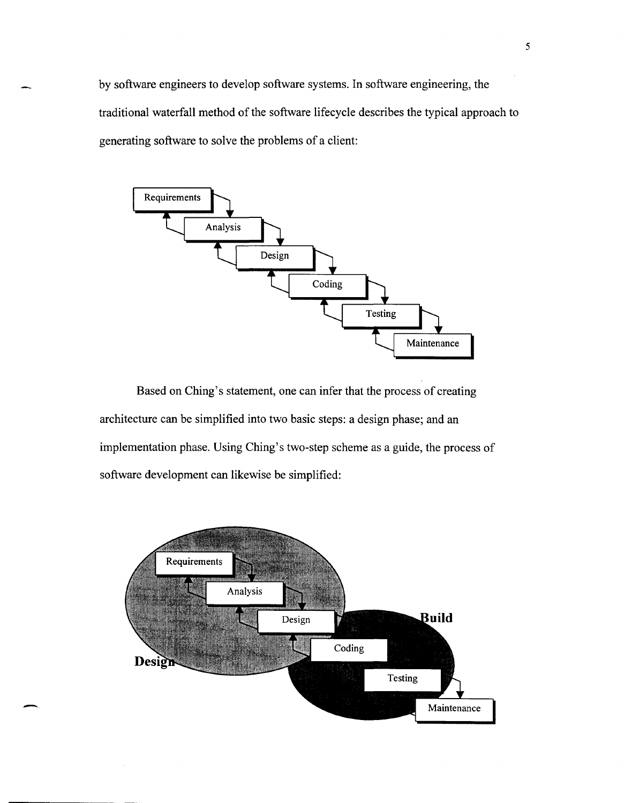by software engineers to develop software systems. In software engineering, the traditional waterfall method of the software lifecycle describes the typical approach to generating software to solve the problems of a client:



Based on Ching's statement, one can infer that the process of creating architecture can be simplified into two basic steps: a design phase; and an implementation phase. Using Ching's two-step scheme as a guide, the process of software development can likewise be simplified:

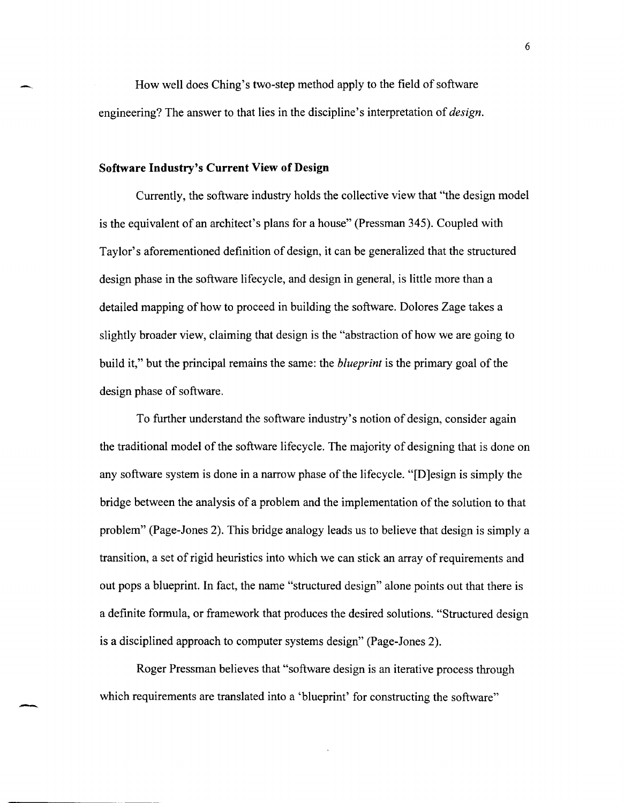How well does Ching's two-step method apply to the field of software engineering? The answer to that lies in the discipline's interpretation of *design.* 

#### **Software Industry's Current View of Design**

-.

-

Currently, the software industry holds the collective view that "the design model is the equivalent of an architect's plans for a house" (Pressman 345). Coupled with Taylor's aforementioned definition of design, it can be generalized that the structured design phase in the software lifecycle, and design in general, is little more than a detailed mapping of how to proceed in building the software. Dolores Zage takes a slightly broader view, claiming that design is the "abstraction of how we are going to build it," but the principal remains the same: the *blueprint* is the primary goal of the design phase of software.

To further understand the software industry's notion of design, consider again the traditional model of the software lifecycle. The majority of designing that is done on any software system is done in a narrow phase of the lifecycle. "[D]esign is simply the bridge between the analysis of a problem and the implementation of the solution to that problem" (Page-Jones 2). This bridge analogy leads us to believe that design is simply a transition, a set of rigid heuristics into which we can stick an array of requirements and out pops a blueprint. In fact, the name "structured design" alone points out that there is a definite formula, or framework that produces the desired solutions. "Structured design is a disciplined approach to computer systems design" (Page-Jones 2).

Roger Pressman believes that "software design is an iterative process through which requirements are translated into a 'blueprint' for constructing the software"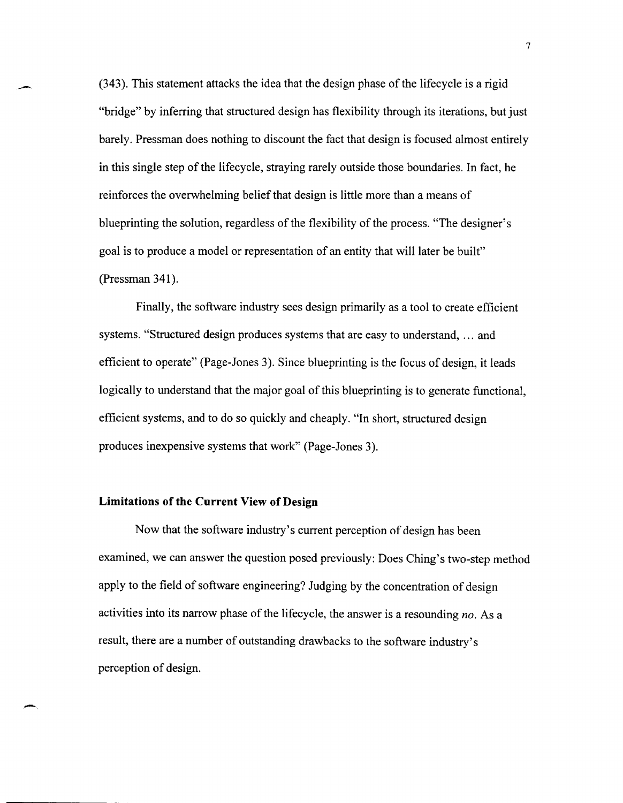(343). This statement attacks the idea that the design phase of the lifecycle is a rigid "bridge" by inferring that structured design has flexibility through its iterations, but just barely. Pressman does nothing to discount the fact that design is focused almost entirely in this single step of the lifecycle, straying rarely outside those boundaries. In fact, he reinforces the overwhelming belief that design is little more than a means of blueprinting the solution, regardless of the flexibility of the process. "The designer's goal is to produce a model or representation of an entity that will later be built" (Pressman 341).

Finally, the software industry sees design primarily as a tool to create efficient systems. "Structured design produces systems that are easy to understand, ... and efficient to operate" (Page-Jones 3). Since blueprinting is the focus of design, it leads logically to understand that the major goal of this blueprinting is to generate functional, efficient systems, and to do so quickly and cheaply. "In short, structured design produces inexpensive systems that work" (Page-Jones 3).

#### **Limitations of the Current View of Design**

Now that the software industry's current perception of design has been examined, we can answer the question posed previously: Does Ching's two-step method apply to the field of software engineering? Judging by the concentration of design activities into its narrow phase of the lifecycle, the answer is a resounding *no.* As a result, there are a number of outstanding drawbacks to the software industry's perception of design.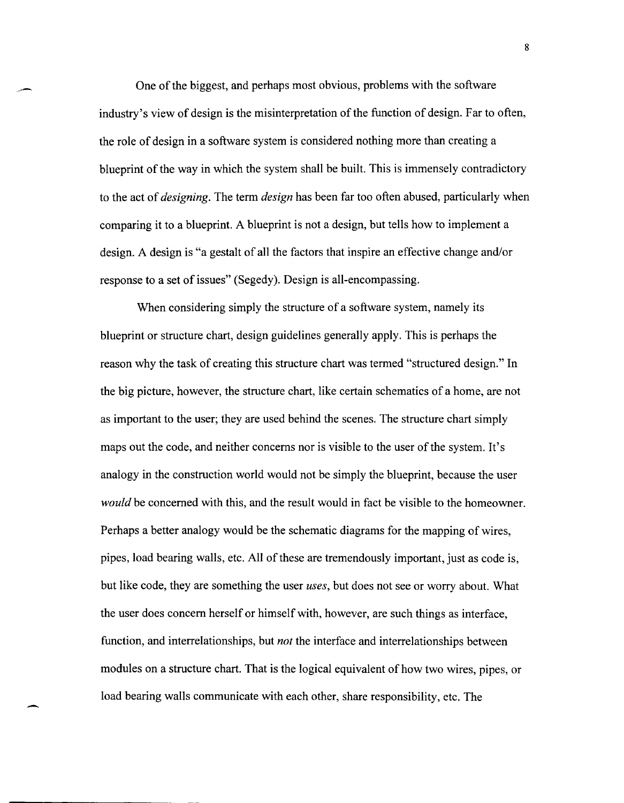One of the biggest, and perhaps most obvious, problems with the software industry's view of design is the misinterpretation of the function of design. Far to often, the role of design in a software system is considered nothing more than creating a blueprint of the way in which the system shall be built. This is immensely contradictory to the act of *designing.* The term *design* has been far too often abused, particularly when comparing it to a blueprint. A blueprint is not a design, but tells how to implement a design. A design is "a gestalt of all the factors that inspire an effective change and/or response to a set of issues" (Segedy). Design is all-encompassing.

When considering simply the structure of a software system, namely its blueprint or structure chart, design guidelines generally apply. This is perhaps the reason why the task of creating this structure chart was termed "structured design." In the big picture, however, the structure chart, like certain schematics of a home, are not as important to the user; they are used behind the scenes. The structure chart simply maps out the code, and neither concerns nor is visible to the user of the system. It's analogy in the construction world would not be simply the blueprint, because the user *would* be concerned with this, and the result would in fact be visible to the homeowner. Perhaps a better analogy would be the schematic diagrams for the mapping of wires, pipes, load bearing walls, etc. All of these are tremendously important, just as code is, but like code, they are something the user *uses,* but does not see or worry about. What the user does concern herself or himself with, however, are such things as interface, function, and interrelationships, but *not* the interface and interrelationships between modules on a structure chart. That is the logical equivalent of how two wires, pipes, or load bearing walls communicate with each other, share responsibility, etc. The

-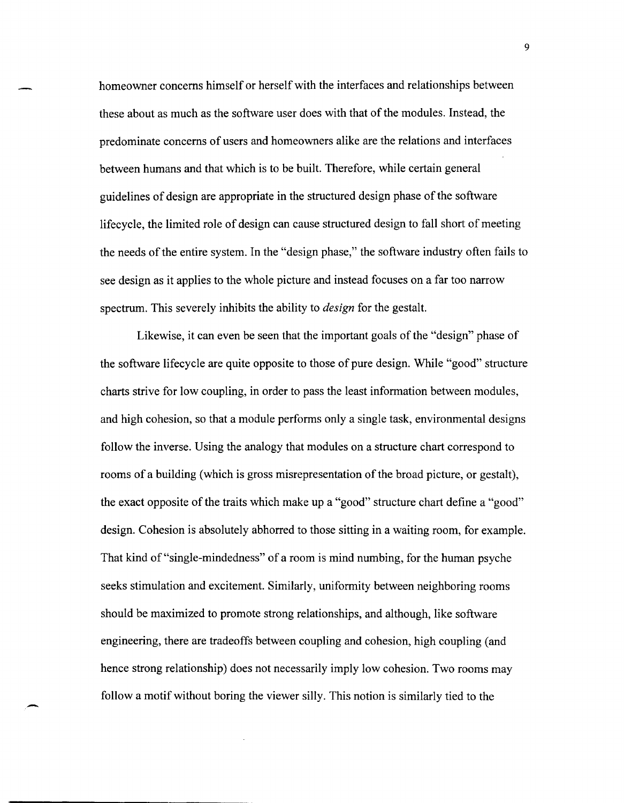homeowner concerns himself or herself with the interfaces and relationships between these about as much as the software user does with that of the modules. Instead, the predominate concerns of users and homeowners alike are the relations and interfaces between humans and that which is to be built. Therefore, while certain general guidelines of design are appropriate in the structured design phase of the software lifecycle, the limited role of design can cause structured design to fall short of meeting the needs of the entire system. In the "design phase," the software industry often fails to see design as it applies to the whole picture and instead focuses on a far too narrow spectrum. This severely inhibits the ability to *design* for the gestalt.

Likewise, it can even be seen that the important goals of the "design" phase of the software lifecycle are quite opposite to those of pure design. While "good" structure charts strive for low coupling, in order to pass the least information between modules, and high cohesion, so that a module performs only a single task, environmental designs follow the inverse. Using the analogy that modules on a structure chart correspond to rooms of a building (which is gross misrepresentation of the broad picture, or gestalt), the exact opposite of the traits which make up a "good" structure chart define a "good" design. Cohesion is absolutely abhorred to those sitting in a waiting room, for example. That kind of "single-mindedness" of a room is mind numbing, for the human psyche seeks stimulation and excitement. Similarly, uniformity between neighboring rooms should be maximized to promote strong relationships, and although, like software engineering, there are tradeoffs between coupling and cohesion, high coupling (and hence strong relationship) does not necessarily imply low cohesion. Two rooms may follow a motif without boring the viewer silly. This notion is similarly tied to the

--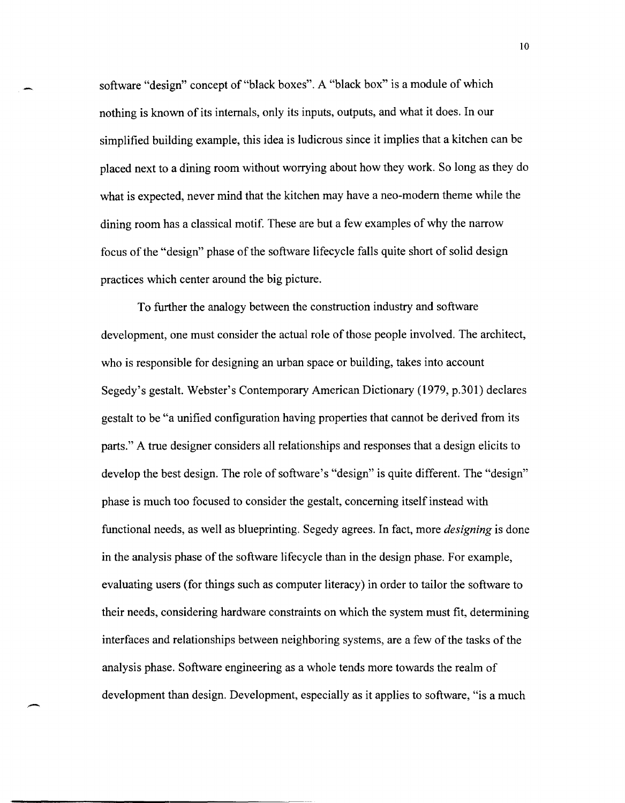software "design" concept of "black boxes". A "black box" is a module of which nothing is known of its internals, only its inputs, outputs, and what it does. In our simplified building example, this idea is ludicrous since it implies that a kitchen can be placed next to a dining room without worrying about how they work. So long as they do what is expected, never mind that the kitchen may have a neo-modern theme while the dining room has a classical motif. These are but a few examples of why the narrow focus of the "design" phase of the software lifecycle falls quite short of solid design practices which center around the big picture.

To further the analogy between the construction industry and software development, one must consider the actual role of those people involved. The architect, who is responsible for designing an urban space or building, takes into account Segedy's gestalt. Webster's Contemporary American Dictionary (1979, p.301) declares gestalt to be "a unified configuration having properties that cannot be derived from its parts." A true designer considers all relationships and responses that a design elicits to develop the best design. The role of software's "design" is quite different. The "design" phase is much too focused to consider the gestalt, concerning itself instead with functional needs, as well as blueprinting. Segedy agrees. In fact, more *designing* is done in the analysis phase of the software lifecycle than in the design phase. For example, evaluating users (for things such as computer literacy) in order to tailor the software to their needs, considering hardware constraints on which the system must fit, determining interfaces and relationships between neighboring systems, are a few of the tasks of the analysis phase. Software engineering as a whole tends more towards the realm of development than design. Development, especially as it applies to software, "is a much

-

 $10<sup>°</sup>$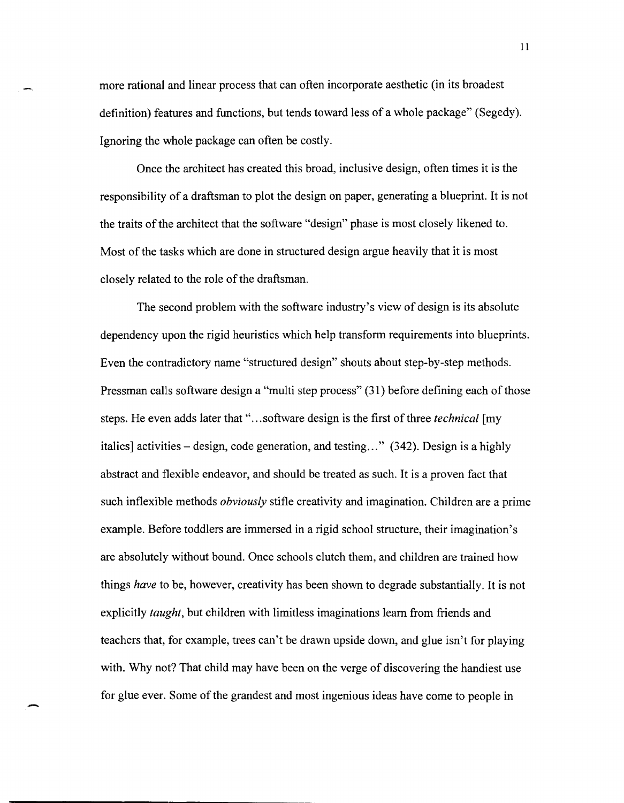more rational and linear process that can often incorporate aesthetic (in its broadest definition) features and functions, but tends toward less of a whole package" (Segedy). Ignoring the whole package can often be costly.

Once the architect has created this broad, inclusive design, often times it is the responsibility of a draftsman to plot the design on paper, generating a blueprint. It is not the traits of the architect that the software "design" phase is most closely likened to. Most of the tasks which are done in structured design argue heavily that it is most closely related to the role of the draftsman.

The second problem with the software industry's view of design is its absolute dependency upon the rigid heuristics which help transform requirements into blueprints. Even the contradictory name "structured design" shouts about step-by-step methods. Pressman calls software design a "multi step process" (31) before defining each of those steps. He even adds later that" ... software design is the first of three *technical* [my italics] activities – design, code generation, and testing..."  $(342)$ . Design is a highly abstract and flexible endeavor, and should be treated as such. It is a proven fact that such inflexible methods *obviously* stifle creativity and imagination. Children are a prime example. Before toddlers are immersed in a rigid school structure, their imagination's are absolutely without bound. Once schools clutch them, and children are trained how things *have* to be, however, creativity has been shown to degrade substantially. It is not explicitly *taught,* but children with limitless imaginations learn from friends and teachers that, for example, trees can't be drawn upside down, and glue isn't for playing with. Why not? That child may have been on the verge of discovering the handiest use for glue ever. Some of the grandest and most ingenious ideas have come to people in

-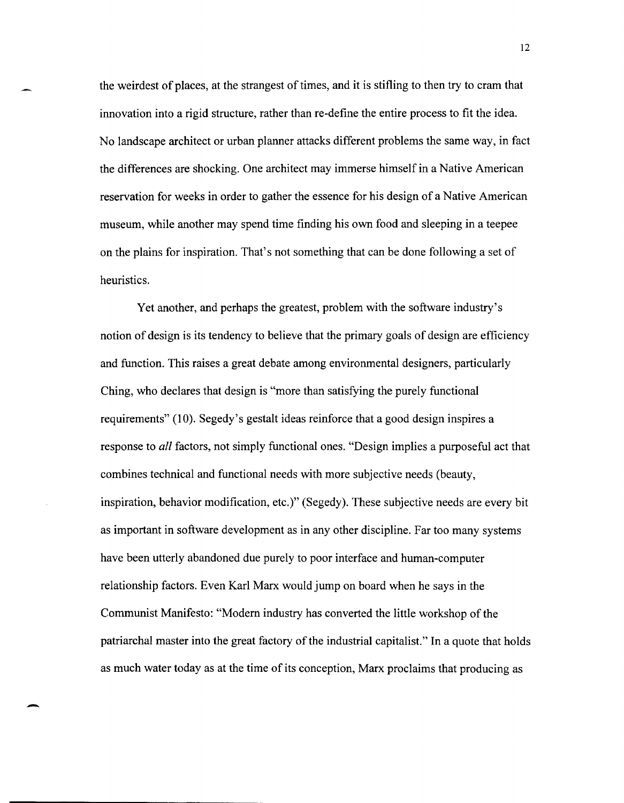the weirdest of places, at the strangest of times, and it is stifling to then try to cram that innovation into a rigid structure, rather than re-define the entire process to fit the idea. No landscape architect or urban planner attacks different problems the same way, in fact the differences are shocking. One architect may immerse himself in a Native American reservation for weeks in order to gather the essence for his design of a Native American museum, while another may spend time finding his own food and sleeping in a teepee on the plains for inspiration. That's not something that can be done following a set of heuristics.

Yet another, and perhaps the greatest, problem with the software industry's notion of design is its tendency to believe that the primary goals of design are efficiency and function. This raises a great debate among environmental designers, particularly Ching, who declares that design is "more than satisfying the purely functional requirements" (10). Segedy's gestalt ideas reinforce that a good design inspires a response to *all* factors, not simply functional ones. "Design implies a purposeful act that combines technical and functional needs with more subjective needs (beauty, inspiration, behavior modification, etc.)" (Segedy). These subjective needs are every bit as important in software development as in any other discipline. Far too many systems have been utterly abandoned due purely to poor interface and human-computer relationship factors. Even Karl Marx would jump on board when he says in the Communist Manifesto: "Modem industry has converted the little workshop of the patriarchal master into the great factory of the industrial capitalist." In a quote that holds as much water today as at the time of its conception, Marx proclaims that producing as

-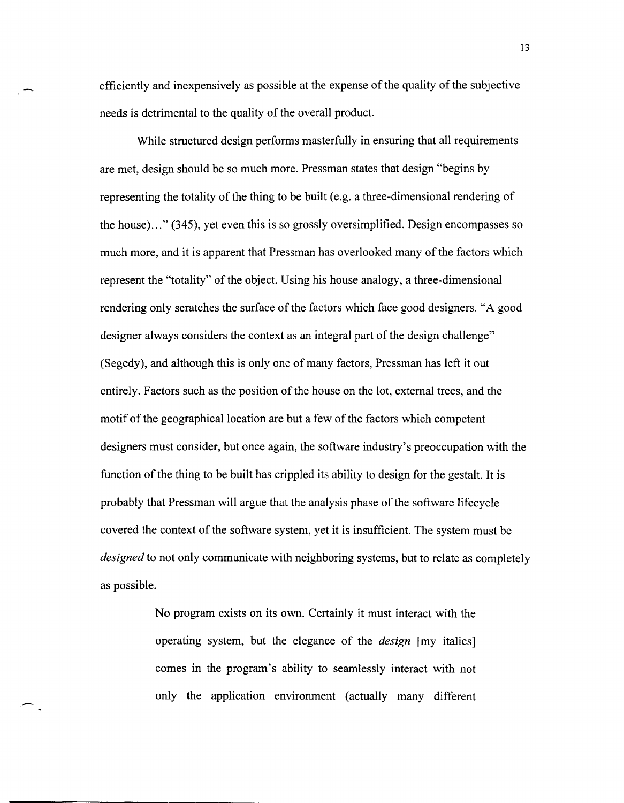efficiently and inexpensively as possible at the expense of the quality of the subjective needs is detrimental to the quality of the overall product.

While structured design performs masterfully in ensuring that all requirements are met, design should be so much more. Pressman states that design "begins by representing the totality of the thing to be built (e.g. a three-dimensional rendering of the house) ... " (345), yet even this is so grossly oversimplified. Design encompasses so much more, and it is apparent that Pressman has overlooked many of the factors which represent the "totality" of the object. Using his house analogy, a three-dimensional rendering only scratches the surface of the factors which face good designers. "A good designer always considers the context as an integral part of the design challenge" (Segedy), and although this is only one of many factors, Pressman has left it out entirely. Factors such as the position of the house on the lot, external trees, and the motif of the geographical location are but a few of the factors which competent designers must consider, but once again, the software industry's preoccupation with the function of the thing to be built has crippled its ability to design for the gestalt. It is probably that Pressman will argue that the analysis phase of the software lifecycle covered the context of the software system, yet it is insufficient. The system must be *designed* to not only communicate with neighboring systems, but to relate as completely as possible.

> No program exists on its own. Certainly it must interact with the operating system, but the elegance of the *design* [my italics] comes in the program's ability to seamlessly interact with not only the application environment (actually many different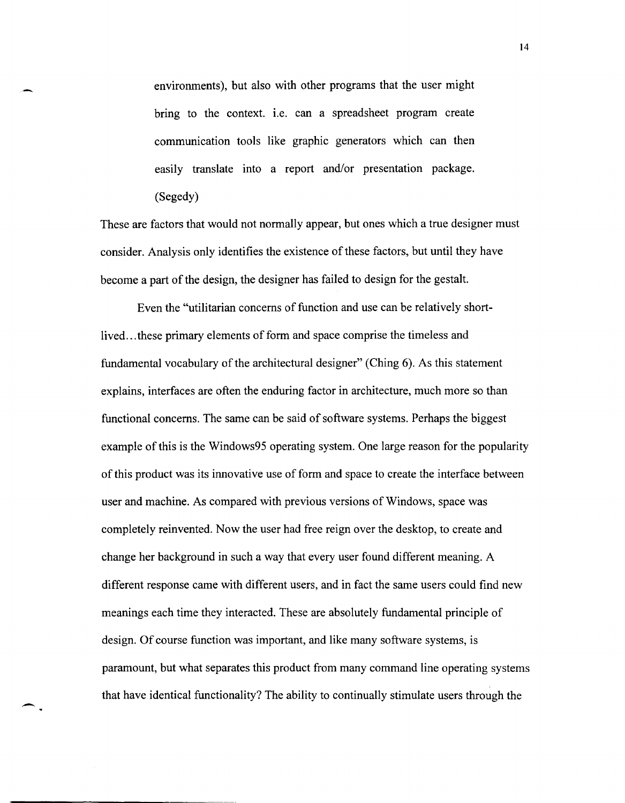environments), but also with other programs that the user might bring to the context. i.e. can a spreadsheet program create communication tools like graphic generators which can then easily translate into a report and/or presentation package. (Segedy)

-

-

These are factors that would not normally appear, but ones which a true designer must consider. Analysis only identifies the existence of these factors, but until they have become a part of the design, the designer has failed to design for the gestalt.

Even the "utilitarian concerns of function and use can be relatively shortlived... these primary elements of form and space comprise the timeless and fundamental vocabulary of the architectural designer" (Ching 6). As this statement explains, interfaces are often the enduring factor in architecture, much more so than functional concerns. The same can be said of software systems. Perhaps the biggest example of this is the Windows95 operating system. One large reason for the popularity of this product was its innovative use of form and space to create the interface between user and machine. As compared with previous versions of Windows, space was completely reinvented. Now the user had free reign over the desktop, to create and change her background in such a way that every user found different meaning. A different response came with different users, and in fact the same users could find new meanings each time they interacted. These are absolutely fundamental principle of design. Of course function was important, and like many software systems, is paramount, but what separates this product from many command line operating systems that have identical functionality? The ability to continually stimulate users through the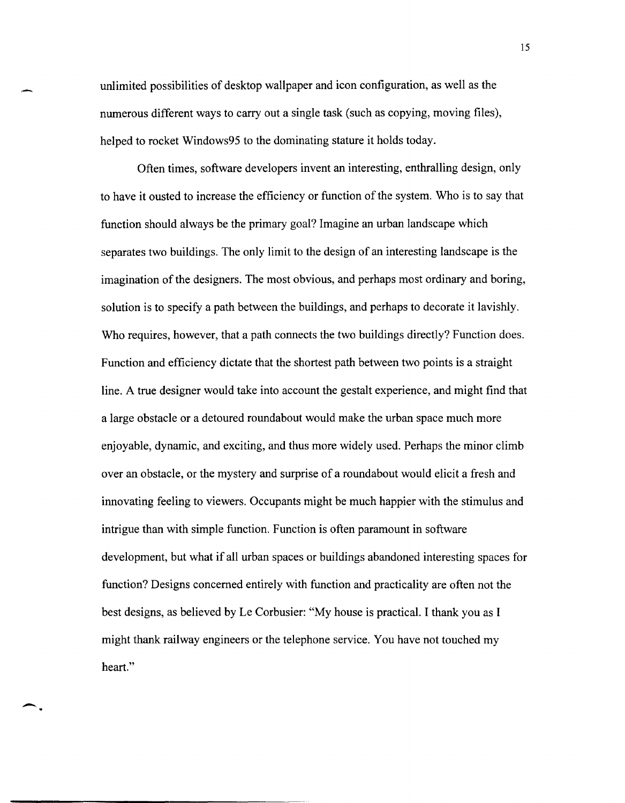unlimited possibilities of desktop wallpaper and icon configuration, as well as the numerous different ways to carry out a single task (such as copying, moving files), helped to rocket Windows95 to the dominating stature it holds today.

.<br>-<br>-<br>-

-.

Often times, software developers invent an interesting, enthralling design, only to have it ousted to increase the efficiency or function of the system. Who is to say that function should always be the primary goal? Imagine an urban landscape which separates two buildings. The only limit to the design of an interesting landscape is the imagination of the designers. The most obvious, and perhaps most ordinary and boring, solution is to specify a path between the buildings, and perhaps to decorate it lavishly. Who requires, however, that a path connects the two buildings directly? Function does. Function and efficiency dictate that the shortest path between two points is a straight line. A true designer would take into account the gestalt experience, and might find that a large obstacle or a detoured roundabout would make the urban space much more enjoyable, dynamic, and exciting, and thus more widely used. Perhaps the minor climb over an obstacle, or the mystery and surprise of a roundabout would elicit a fresh and innovating feeling to viewers. Occupants might be much happier with the stimulus and intrigue than with simple function. Function is often paramount in software development, but what if all urban spaces or buildings abandoned interesting spaces for function? Designs concerned entirely with function and practicality are often not the best designs, as believed by Le Corbusier: "My house is practical. I thank you as I might thank railway engineers or the telephone service. You have not touched my heart."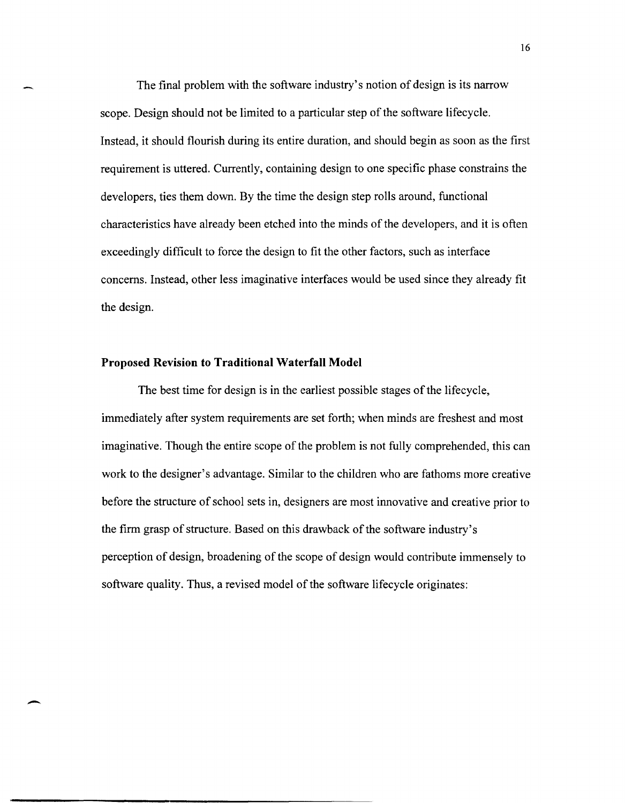The final problem with the software industry's notion of design is its narrow scope. Design should not be limited to a particular step of the software lifecycle. Instead, it should flourish during its entire duration, and should begin as soon as the first requirement is uttered. Currently, containing design to one specific phase constrains the developers, ties them down. By the time the design step rolls around, functional characteristics have already been etched into the minds of the developers, and it is often exceedingly difficult to force the design to fit the other factors, such as interface concerns. Instead, other less imaginative interfaces would be used since they already fit the design.

#### **Proposed Revision to Traditional Waterfall Model**

-

The best time for design is in the earliest possible stages of the lifecycle, immediately after system requirements are set forth; when minds are freshest and most imaginative. Though the entire scope of the problem is not fully comprehended, this can work to the designer's advantage. Similar to the children who are fathoms more creative before the structure of school sets in, designers are most innovative and creative prior to the firm grasp of structure. Based on this drawback of the software industry's perception of design, broadening of the scope of design would contribute immensely to software quality. Thus, a revised model of the software lifecycle originates: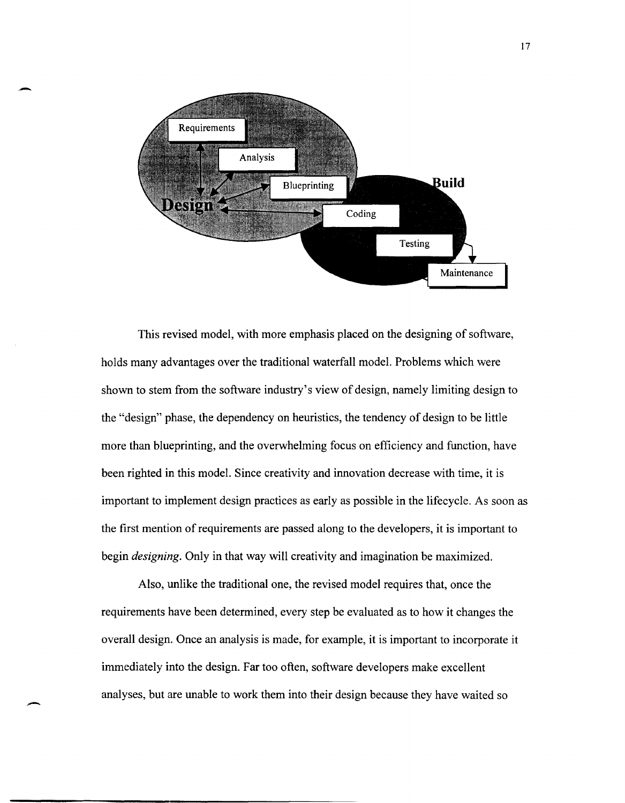

-

 $\overline{\phantom{0}}$ 

This revised model, with more emphasis placed on the designing of software, holds many advantages over the traditional waterfall model. Problems which were shown to stem from the software industry's view of design, namely limiting design to the "design" phase, the dependency on heuristics, the tendency of design to be little more than blueprinting, and the overwhelming focus on efficiency and function, have been righted in this model. Since creativity and innovation decrease with time, it is important to implement design practices as early as possible in the lifecycle. As soon as the first mention of requirements are passed along to the developers, it is important to begin *designing.* Only in that way will creativity and imagination be maximized.

Also, unlike the traditional one, the revised model requires that, once the requirements have been determined, every step be evaluated as to how it changes the overall design. Once an analysis is made, for example, it is important to incorporate it immediately into the design. Far too often, software developers make excellent analyses, but are unable to work them into their design because they have waited so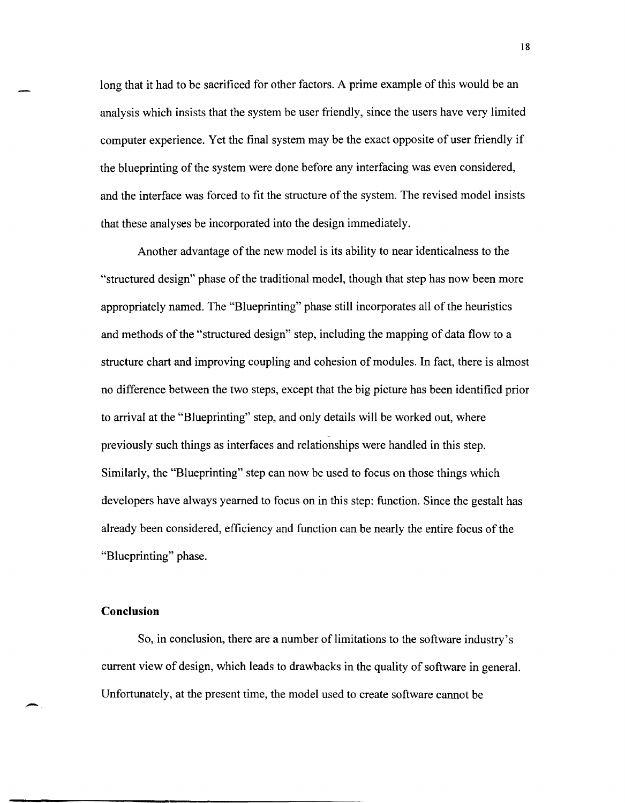long that it had to be sacrificed for other factors. A prime example of this would be an analysis which insists that the system be user friendly, since the users have very limited computer experience. Yet the final system may be the exact opposite of user friendly if the blueprinting of the system were done before any interfacing was even considered, and the interface was forced to fit the structure of the system. The revised model insists that these analyses be incorporated into the design immediately.

Another advantage of the new model is its ability to near identicalness to the "structured design" phase of the traditional model, though that step has now been more appropriately named. The "Blueprinting" phase still incorporates all of the heuristics and methods of the "structured design" step, including the mapping of data flow to a structure chart and improving coupling and cohesion of modules. In fact, there is almost no difference between the two steps, except that the big picture has been identified prior to arrival at the "Blueprinting" step, and only details will be worked out, where previously such things as interfaces and relationships were handled in this step. Similarly, the "Blueprinting" step can now be used to focus on those things which developers have always yearned to focus on in this step: function. Since the gestalt has already been considered, efficiency and function can be nearly the entire focus of the "Blueprinting" phase.

## **Conclusion**

-

So, in conclusion, there are a number of limitations to the software industry's current view of design, which leads to drawbacks in the quality of software in general. Unfortunately, at the present time, the model used to create software cannot be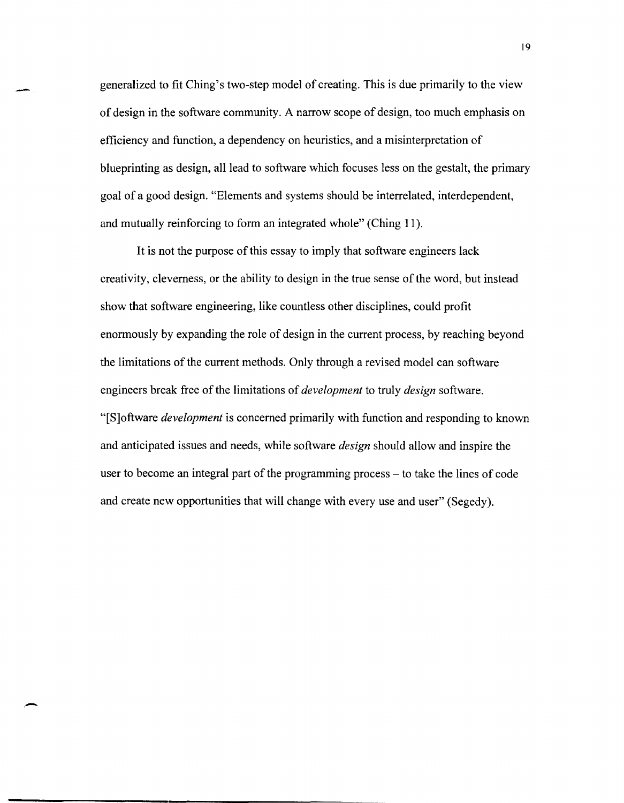generalized to fit Ching's two-step model of creating. This is due primarily to the view of design in the software community. A narrow scope of design, too much emphasis on efficiency and function, a dependency on heuristics, and a misinterpretation of blueprinting as design, all lead to software which focuses less on the gestalt, the primary goal of a good design. "Elements and systems should be interrelated, interdependent, and mutually reinforcing to form an integrated whole" (Ching 11).

-

It is not the purpose of this essay to imply that software engineers lack creativity, cleverness, or the ability to design in the true sense of the word, but instead show that software engineering, like countless other disciplines, could profit enormously by expanding the role of design in the current process, by reaching beyond the limitations of the current methods. Only through a revised model can software engineers break free ofthe limitations of *development* to truly *design* software. "[S]oftware *development* is concerned primarily with function and responding to known and anticipated issues and needs, while software *design* should allow and inspire the user to become an integral part of the programming process - to take the lines of code and create new opportunities that will change with every use and user" (Segedy).